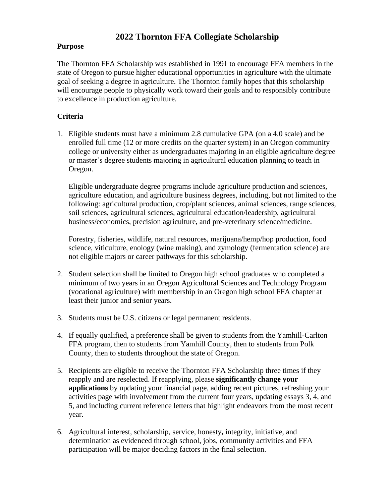# **2022 Thornton FFA Collegiate Scholarship**

### **Purpose**

The Thornton FFA Scholarship was established in 1991 to encourage FFA members in the state of Oregon to pursue higher educational opportunities in agriculture with the ultimate goal of seeking a degree in agriculture. The Thornton family hopes that this scholarship will encourage people to physically work toward their goals and to responsibly contribute to excellence in production agriculture.

# **Criteria**

1. Eligible students must have a minimum 2.8 cumulative GPA (on a 4.0 scale) and be enrolled full time (12 or more credits on the quarter system) in an Oregon community college or university either as undergraduates majoring in an eligible agriculture degree or master's degree students majoring in agricultural education planning to teach in Oregon.

Eligible undergraduate degree programs include agriculture production and sciences, agriculture education, and agriculture business degrees, including, but not limited to the following: agricultural production, crop/plant sciences, animal sciences, range sciences, soil sciences, agricultural sciences, agricultural education/leadership, agricultural business/economics, precision agriculture, and pre-veterinary science/medicine.

Forestry, fisheries, wildlife, natural resources, marijuana/hemp/hop production, food science, viticulture, enology (wine making), and zymology (fermentation science) are not eligible majors or career pathways for this scholarship.

- 2. Student selection shall be limited to Oregon high school graduates who completed a minimum of two years in an Oregon Agricultural Sciences and Technology Program (vocational agriculture) with membership in an Oregon high school FFA chapter at least their junior and senior years.
- 3. Students must be U.S. citizens or legal permanent residents.
- 4. If equally qualified, a preference shall be given to students from the Yamhill-Carlton FFA program, then to students from Yamhill County, then to students from Polk County, then to students throughout the state of Oregon.
- 5. Recipients are eligible to receive the Thornton FFA Scholarship three times if they reapply and are reselected. If reapplying, please **significantly change your applications** by updating your financial page, adding recent pictures, refreshing your activities page with involvement from the current four years, updating essays 3, 4, and 5, and including current reference letters that highlight endeavors from the most recent year.
- 6. Agricultural interest, scholarship, service, honesty**,** integrity, initiative, and determination as evidenced through school, jobs, community activities and FFA participation will be major deciding factors in the final selection.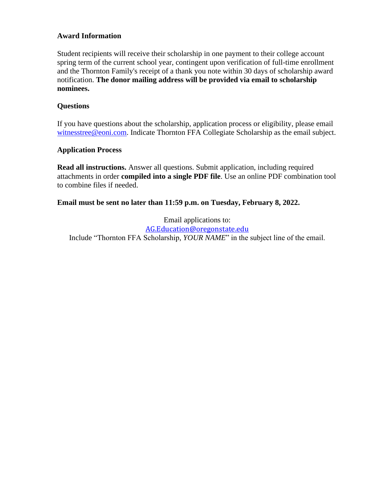### **Award Information**

Student recipients will receive their scholarship in one payment to their college account spring term of the current school year, contingent upon verification of full-time enrollment and the Thornton Family's receipt of a thank you note within 30 days of scholarship award notification. **The donor mailing address will be provided via email to scholarship nominees.** 

### **Questions**

If you have questions about the scholarship, application process or eligibility, please email [witnesstree@eoni.com.](mailto:witnesstree@eoni.com) Indicate Thornton FFA Collegiate Scholarship as the email subject.

### **Application Process**

**Read all instructions.** Answer all questions. Submit application, including required attachments in order **compiled into a single PDF file**. Use an online PDF combination tool to combine files if needed.

### **Email must be sent no later than 11:59 p.m. on Tuesday, February 8, 2022.**

Email applications to: [AG.Education@oregonstate.edu](mailto:AG.Education@oregonstate.edu) Include "Thornton FFA Scholarship, *YOUR NAME*" in the subject line of the email.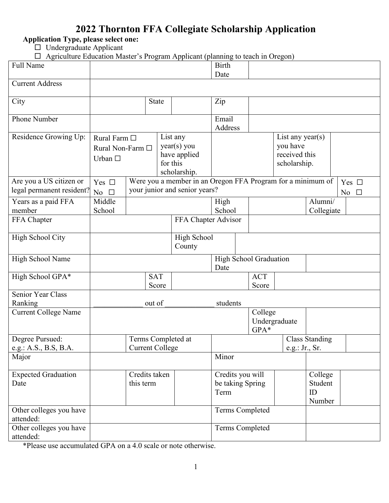# **2022 Thornton FFA Collegiate Scholarship Application**

**Application Type, please select one:** 

 $\square$  Undergraduate Applicant

 $\Box$  Agriculture Education Master's Program Applicant (planning to teach in Oregon)

| Full Name                   |                  |                        |                     |                                                             | <b>Birth</b>     |                        |                  |                       |              |
|-----------------------------|------------------|------------------------|---------------------|-------------------------------------------------------------|------------------|------------------------|------------------|-----------------------|--------------|
| <b>Current Address</b>      |                  |                        |                     |                                                             | Date             |                        |                  |                       |              |
|                             |                  |                        |                     |                                                             |                  |                        |                  |                       |              |
| City                        |                  |                        | <b>State</b>        |                                                             | Zip              |                        |                  |                       |              |
|                             |                  |                        |                     |                                                             |                  |                        |                  |                       |              |
| Phone Number                |                  |                        |                     |                                                             | Email<br>Address |                        |                  |                       |              |
| Residence Growing Up:       | Rural Farm □     |                        |                     | List any                                                    |                  |                        | List any year(s) |                       |              |
|                             | Rural Non-Farm □ |                        |                     | year(s) you                                                 |                  |                        | you have         |                       |              |
|                             | Urban $\square$  |                        |                     | have applied                                                |                  |                        | received this    |                       |              |
|                             |                  |                        | for this            | scholarship.                                                |                  |                        | scholarship.     |                       |              |
| Are you a US citizen or     | Yes $\square$    |                        |                     | Were you a member in an Oregon FFA Program for a minimum of |                  |                        |                  |                       | Yes $\Box$   |
| legal permanent resident?   | No $\square$     |                        |                     | your junior and senior years?                               |                  |                        |                  |                       | No $\square$ |
| Years as a paid FFA         | Middle           |                        |                     |                                                             | High             |                        |                  | Alumni/               |              |
| member                      | School           |                        |                     |                                                             | School           |                        |                  | Collegiate            |              |
| FFA Chapter                 |                  |                        |                     | FFA Chapter Advisor                                         |                  |                        |                  |                       |              |
| High School City            |                  |                        |                     | <b>High School</b>                                          |                  |                        |                  |                       |              |
|                             |                  |                        |                     | County                                                      |                  |                        |                  |                       |              |
| High School Name            |                  |                        |                     |                                                             |                  | High School Graduation |                  |                       |              |
|                             |                  |                        |                     |                                                             | Date             |                        |                  |                       |              |
| High School GPA*            |                  |                        | <b>SAT</b><br>Score |                                                             |                  | <b>ACT</b><br>Score    |                  |                       |              |
| <b>Senior Year Class</b>    |                  |                        |                     |                                                             |                  |                        |                  |                       |              |
| Ranking                     |                  |                        | out of              |                                                             | students         |                        |                  |                       |              |
| <b>Current College Name</b> |                  |                        |                     |                                                             |                  | College                |                  |                       |              |
|                             |                  |                        |                     |                                                             |                  | Undergraduate<br>GPA*  |                  |                       |              |
| Degree Pursued:             |                  | Terms Completed at     |                     |                                                             |                  |                        |                  | <b>Class Standing</b> |              |
| e.g.: A.S., B.S, B.A.       |                  | <b>Current College</b> |                     |                                                             |                  |                        | e.g.: Jr., Sr.   |                       |              |
| Major                       |                  |                        |                     |                                                             | Minor            |                        |                  |                       |              |
| <b>Expected Graduation</b>  |                  | Credits taken          |                     |                                                             | Credits you will |                        |                  | College               |              |
| Date                        |                  | this term              |                     |                                                             | be taking Spring |                        |                  | Student               |              |
|                             |                  |                        |                     |                                                             | Term             |                        |                  | ID                    |              |
| Other colleges you have     |                  |                        |                     |                                                             |                  | Terms Completed        |                  | Number                |              |
| attended:                   |                  |                        |                     |                                                             |                  |                        |                  |                       |              |
| Other colleges you have     |                  |                        |                     |                                                             |                  | Terms Completed        |                  |                       |              |
| attended:                   |                  |                        |                     |                                                             |                  |                        |                  |                       |              |

\*Please use accumulated GPA on a 4.0 scale or note otherwise.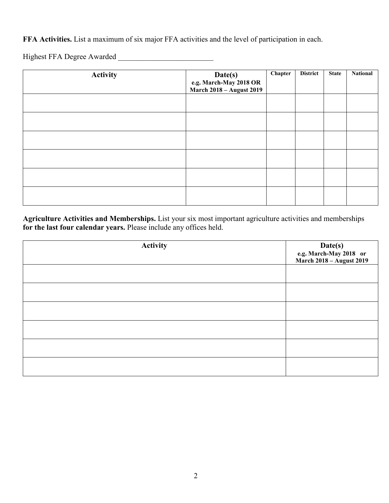**FFA Activities.** List a maximum of six major FFA activities and the level of participation in each.

Highest FFA Degree Awarded \_\_\_\_\_\_\_\_\_\_\_\_\_\_\_\_\_\_\_\_\_\_\_\_\_

| <b>Activity</b> | Date(s)<br>e.g. March-May 2018 OR<br>March 2018 – August 2019 | Chapter | <b>District</b> | <b>State</b> | <b>National</b> |
|-----------------|---------------------------------------------------------------|---------|-----------------|--------------|-----------------|
|                 |                                                               |         |                 |              |                 |
|                 |                                                               |         |                 |              |                 |
|                 |                                                               |         |                 |              |                 |
|                 |                                                               |         |                 |              |                 |
|                 |                                                               |         |                 |              |                 |
|                 |                                                               |         |                 |              |                 |

**Agriculture Activities and Memberships.** List your six most important agriculture activities and memberships **for the last four calendar years.** Please include any offices held.

| <b>Activity</b> | Date(s)<br>e.g. March-May 2018 or<br>March 2018 – August 2019 |
|-----------------|---------------------------------------------------------------|
|                 |                                                               |
|                 |                                                               |
|                 |                                                               |
|                 |                                                               |
|                 |                                                               |
|                 |                                                               |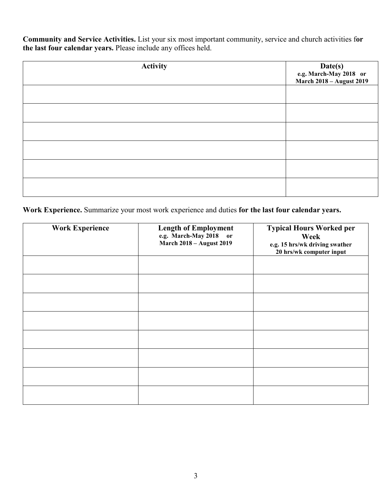**Community and Service Activities.** List your six most important community, service and church activities f**or the last four calendar years.** Please include any offices held.

| <b>Activity</b> | Date(s)<br>e.g. March-May 2018 or<br>March 2018 – August 2019 |
|-----------------|---------------------------------------------------------------|
|                 |                                                               |
|                 |                                                               |
|                 |                                                               |
|                 |                                                               |
|                 |                                                               |
|                 |                                                               |

**Work Experience.** Summarize your most work experience and duties **for the last four calendar years.**

| <b>Work Experience</b> | <b>Length of Employment</b><br>e.g. March-May 2018 or<br><b>March 2018 - August 2019</b> | <b>Typical Hours Worked per</b><br>Week<br>e.g. 15 hrs/wk driving swather<br>20 hrs/wk computer input |
|------------------------|------------------------------------------------------------------------------------------|-------------------------------------------------------------------------------------------------------|
|                        |                                                                                          |                                                                                                       |
|                        |                                                                                          |                                                                                                       |
|                        |                                                                                          |                                                                                                       |
|                        |                                                                                          |                                                                                                       |
|                        |                                                                                          |                                                                                                       |
|                        |                                                                                          |                                                                                                       |
|                        |                                                                                          |                                                                                                       |
|                        |                                                                                          |                                                                                                       |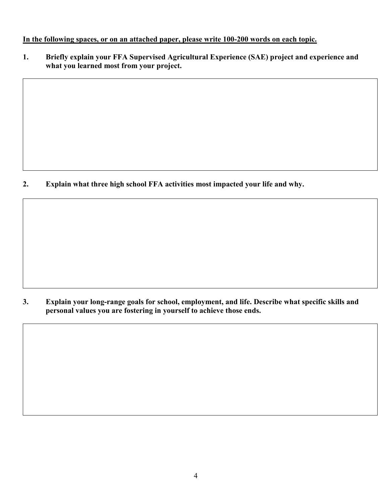### **In the following spaces, or on an attached paper, please write 100-200 words on each topic.**

**1. Briefly explain your FFA Supervised Agricultural Experience (SAE) project and experience and what you learned most from your project.**

**2. Explain what three high school FFA activities most impacted your life and why.**

**3. Explain your long-range goals for school, employment, and life. Describe what specific skills and personal values you are fostering in yourself to achieve those ends.**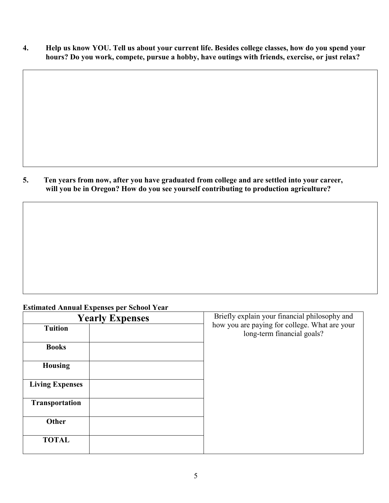**4. Help us know YOU. Tell us about your current life. Besides college classes, how do you spend your hours? Do you work, compete, pursue a hobby, have outings with friends, exercise, or just relax?**

**5. Ten years from now, after you have graduated from college and are settled into your career, will you be in Oregon? How do you see yourself contributing to production agriculture?**

# **Estimated Annual Expenses per School Year**

| <b>Yearly Expenses</b> | Briefly explain your financial philosophy and                               |
|------------------------|-----------------------------------------------------------------------------|
| <b>Tuition</b>         | how you are paying for college. What are your<br>long-term financial goals? |
| <b>Books</b>           |                                                                             |
| <b>Housing</b>         |                                                                             |
| <b>Living Expenses</b> |                                                                             |
| Transportation         |                                                                             |
| Other                  |                                                                             |
| <b>TOTAL</b>           |                                                                             |